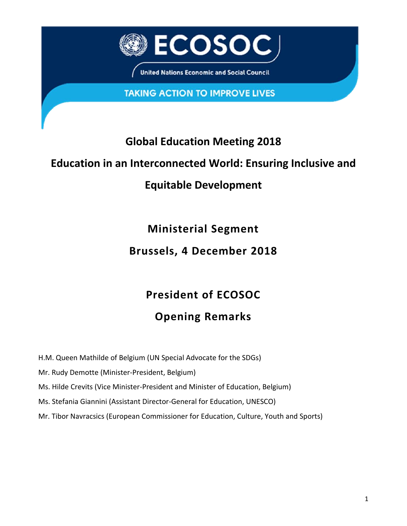

**United Nations Economic and Social Council** 

**TAKING ACTION TO IMPROVE LIVES** 

### **Global Education Meeting 2018**

#### **Education in an Interconnected World: Ensuring Inclusive and**

### **Equitable Development**

**Ministerial Segment Brussels, 4 December 2018**

# **President of ECOSOC**

## **Opening Remarks**

H.M. Queen Mathilde of Belgium (UN Special Advocate for the SDGs)

Mr. Rudy Demotte (Minister-President, Belgium)

Ms. Hilde Crevits (Vice Minister-President and Minister of Education, Belgium)

Ms. Stefania Giannini (Assistant Director-General for Education, UNESCO)

Mr. Tibor Navracsics (European Commissioner for Education, Culture, Youth and Sports)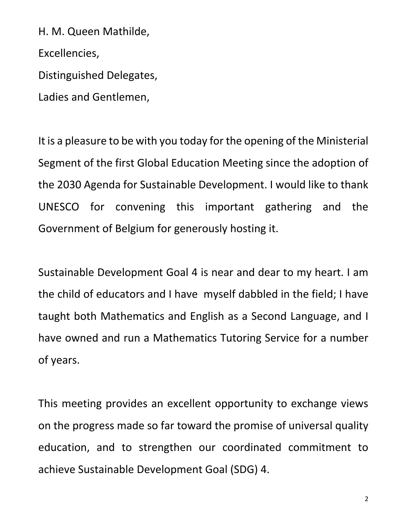H. M. Queen Mathilde,

Excellencies,

Distinguished Delegates,

Ladies and Gentlemen,

It is a pleasure to be with you today for the opening of the Ministerial Segment of the first Global Education Meeting since the adoption of the 2030 Agenda for Sustainable Development. I would like to thank UNESCO for convening this important gathering and the Government of Belgium for generously hosting it.

Sustainable Development Goal 4 is near and dear to my heart. I am the child of educators and I have myself dabbled in the field; I have taught both Mathematics and English as a Second Language, and I have owned and run a Mathematics Tutoring Service for a number of years.

This meeting provides an excellent opportunity to exchange views on the progress made so far toward the promise of universal quality education, and to strengthen our coordinated commitment to achieve Sustainable Development Goal (SDG) 4.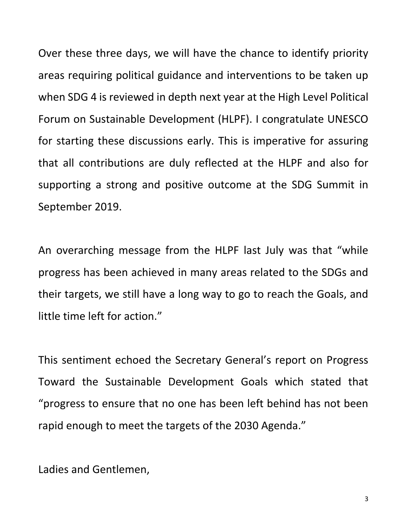Over these three days, we will have the chance to identify priority areas requiring political guidance and interventions to be taken up when SDG 4 is reviewed in depth next year at the High Level Political Forum on Sustainable Development (HLPF). I congratulate UNESCO for starting these discussions early. This is imperative for assuring that all contributions are duly reflected at the HLPF and also for supporting a strong and positive outcome at the SDG Summit in September 2019.

An overarching message from the HLPF last July was that "while progress has been achieved in many areas related to the SDGs and their targets, we still have a long way to go to reach the Goals, and little time left for action."

This sentiment echoed the Secretary General's report on Progress Toward the Sustainable Development Goals which stated that "progress to ensure that no one has been left behind has not been rapid enough to meet the targets of the 2030 Agenda."

Ladies and Gentlemen,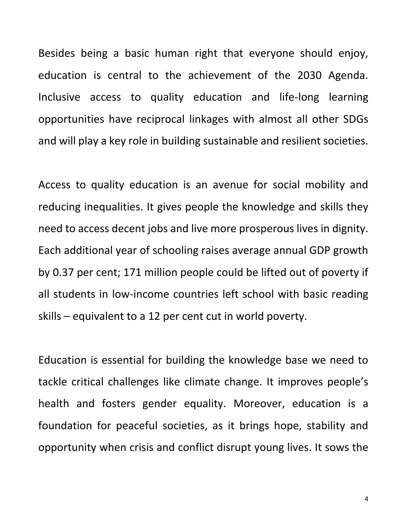Besides being a basic human right that everyone should enjoy, education is central to the achievement of the 2030 Agenda. Inclusive access to quality education and life-long learning opportunities have reciprocal linkages with almost all other SDGs and will play a key role in building sustainable and resilient societies.

Access to quality education is an avenue for social mobility and reducing inequalities. It gives people the knowledge and skills they need to access decent jobs and live more prosperous lives in dignity. Each additional year of schooling raises average annual GDP growth by 0.37 per cent; 171 million people could be lifted out of poverty if all students in low-income countries left school with basic reading skills – equivalent to a 12 per cent cut in world poverty.

Education is essential for building the knowledge base we need to tackle critical challenges like climate change. It improves people's health and fosters gender equality. Moreover, education is a foundation for peaceful societies, as it brings hope, stability and opportunity when crisis and conflict disrupt young lives. It sows the

4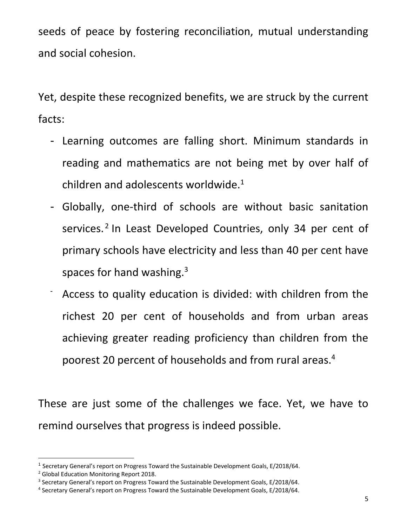seeds of peace by fostering reconciliation, mutual understanding and social cohesion.

Yet, despite these recognized benefits, we are struck by the current facts:

- Learning outcomes are falling short. Minimum standards in reading and mathematics are not being met by over half of children and adolescents worldwide. $1$
- Globally, one-third of schools are without basic sanitation services.<sup>2</sup> In Least Developed Countries, only 34 per cent of primary schools have electricity and less than 40 per cent have spaces for hand washing.<sup>3</sup>
- Access to quality education is divided: with children from the richest 20 per cent of households and from urban areas achieving greater reading proficiency than children from the poorest 20 percent of households and from rural areas.<sup>4</sup>

These are just some of the challenges we face. Yet, we have to remind ourselves that progress is indeed possible.

 $\overline{a}$ 

<sup>&</sup>lt;sup>1</sup> Secretary General's report on Progress Toward the Sustainable Development Goals, E/2018/64.

<sup>2</sup> Global Education Monitoring Report 2018.

<sup>&</sup>lt;sup>3</sup> Secretary General's report on Progress Toward the Sustainable Development Goals, E/2018/64.

<sup>4</sup> Secretary General's report on Progress Toward the Sustainable Development Goals, E/2018/64.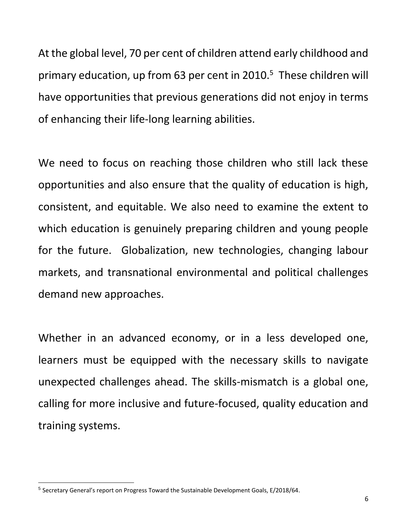At the global level, 70 per cent of children attend early childhood and primary education, up from 63 per cent in 2010.<sup>5</sup> These children will have opportunities that previous generations did not enjoy in terms of enhancing their life-long learning abilities.

We need to focus on reaching those children who still lack these opportunities and also ensure that the quality of education is high, consistent, and equitable. We also need to examine the extent to which education is genuinely preparing children and young people for the future. Globalization, new technologies, changing labour markets, and transnational environmental and political challenges demand new approaches.

Whether in an advanced economy, or in a less developed one, learners must be equipped with the necessary skills to navigate unexpected challenges ahead. The skills-mismatch is a global one, calling for more inclusive and future-focused, quality education and training systems.

 $\overline{a}$ 

<sup>&</sup>lt;sup>5</sup> Secretary General's report on Progress Toward the Sustainable Development Goals, E/2018/64.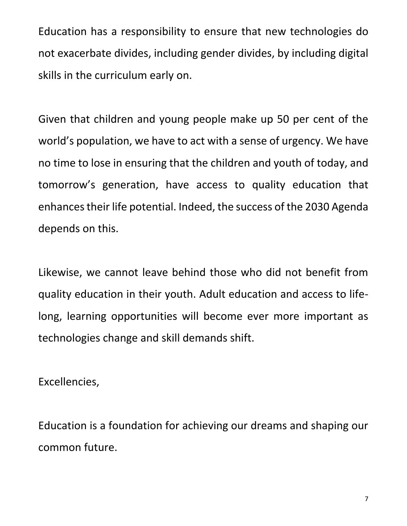Education has a responsibility to ensure that new technologies do not exacerbate divides, including gender divides, by including digital skills in the curriculum early on.

Given that children and young people make up 50 per cent of the world's population, we have to act with a sense of urgency. We have no time to lose in ensuring that the children and youth of today, and tomorrow's generation, have access to quality education that enhances their life potential. Indeed, the success of the 2030 Agenda depends on this.

Likewise, we cannot leave behind those who did not benefit from quality education in their youth. Adult education and access to lifelong, learning opportunities will become ever more important as technologies change and skill demands shift.

Excellencies,

Education is a foundation for achieving our dreams and shaping our common future.